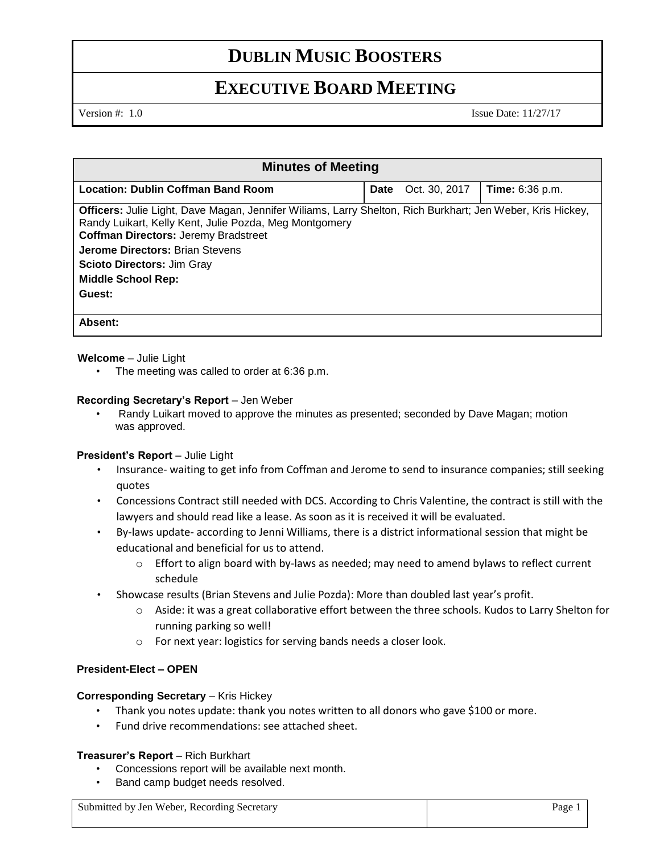# **DUBLIN MUSIC BOOSTERS**

# **EXECUTIVE BOARD MEETING**

Version #: 1.0 Issue Date: 11/27/17

| <b>Minutes of Meeting</b>                                                                                                                                                                                           |             |               |                        |  |  |
|---------------------------------------------------------------------------------------------------------------------------------------------------------------------------------------------------------------------|-------------|---------------|------------------------|--|--|
| <b>Location: Dublin Coffman Band Room</b>                                                                                                                                                                           | <b>Date</b> | Oct. 30, 2017 | <b>Time:</b> 6:36 p.m. |  |  |
| Officers: Julie Light, Dave Magan, Jennifer Wiliams, Larry Shelton, Rich Burkhart; Jen Weber, Kris Hickey,<br>Randy Luikart, Kelly Kent, Julie Pozda, Meg Montgomery<br><b>Coffman Directors: Jeremy Bradstreet</b> |             |               |                        |  |  |
| <b>Jerome Directors: Brian Stevens</b>                                                                                                                                                                              |             |               |                        |  |  |
| <b>Scioto Directors: Jim Gray</b>                                                                                                                                                                                   |             |               |                        |  |  |
| <b>Middle School Rep:</b>                                                                                                                                                                                           |             |               |                        |  |  |
| Guest:                                                                                                                                                                                                              |             |               |                        |  |  |
| Absent:                                                                                                                                                                                                             |             |               |                        |  |  |

**Welcome** – Julie Light

The meeting was called to order at 6:36 p.m.

### **Recording Secretary's Report** – Jen Weber

• Randy Luikart moved to approve the minutes as presented; seconded by Dave Magan; motion was approved.

#### **President's Report** – Julie Light

- Insurance- waiting to get info from Coffman and Jerome to send to insurance companies; still seeking quotes
- Concessions Contract still needed with DCS. According to Chris Valentine, the contract is still with the lawyers and should read like a lease. As soon as it is received it will be evaluated.
- By-laws update- according to Jenni Williams, there is a district informational session that might be educational and beneficial for us to attend.
	- $\circ$  Effort to align board with by-laws as needed; may need to amend bylaws to reflect current schedule
- Showcase results (Brian Stevens and Julie Pozda): More than doubled last year's profit.
	- o Aside: it was a great collaborative effort between the three schools. Kudos to Larry Shelton for running parking so well!
	- o For next year: logistics for serving bands needs a closer look.

## **President-Elect – OPEN**

#### **Corresponding Secretary – Kris Hickey**

- Thank you notes update: thank you notes written to all donors who gave \$100 or more.
- Fund drive recommendations: see attached sheet.

#### **Treasurer's Report** – Rich Burkhart

- Concessions report will be available next month.
- Band camp budget needs resolved.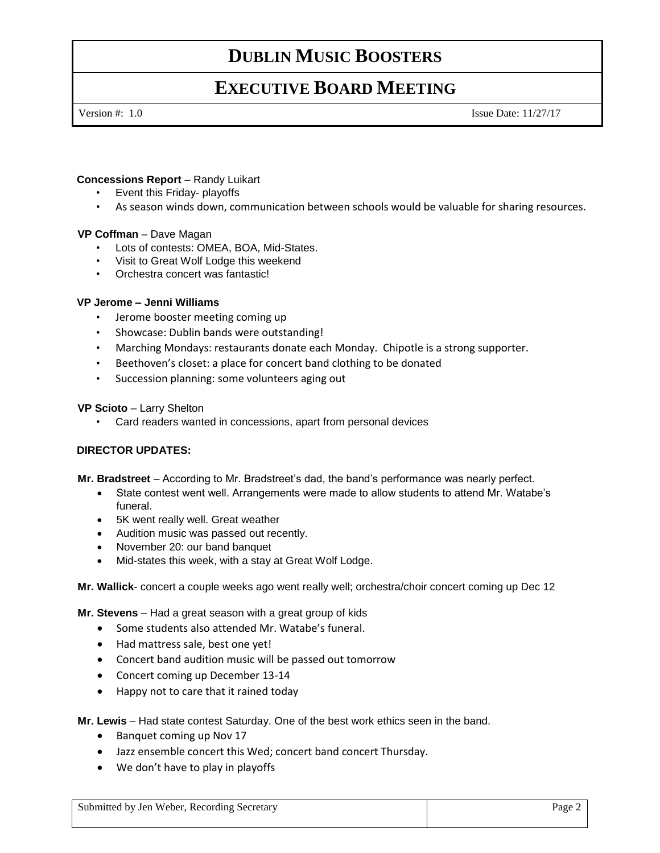# **DUBLIN MUSIC BOOSTERS**

# **EXECUTIVE BOARD MEETING**

Version #: 1.0 Issue Date: 11/27/17

## **Concessions Report** – Randy Luikart

- Event this Friday- playoffs
- As season winds down, communication between schools would be valuable for sharing resources.

### **VP Coffman** – Dave Magan

- Lots of contests: OMEA, BOA, Mid-States.
- Visit to Great Wolf Lodge this weekend
- Orchestra concert was fantastic!

### **VP Jerome – Jenni Williams**

- Jerome booster meeting coming up
- Showcase: Dublin bands were outstanding!
- Marching Mondays: restaurants donate each Monday. Chipotle is a strong supporter.
- Beethoven's closet: a place for concert band clothing to be donated
- Succession planning: some volunteers aging out

#### **VP Scioto** – Larry Shelton

• Card readers wanted in concessions, apart from personal devices

## **DIRECTOR UPDATES:**

**Mr. Bradstreet** – According to Mr. Bradstreet's dad, the band's performance was nearly perfect.

- State contest went well. Arrangements were made to allow students to attend Mr. Watabe's funeral.
- 5K went really well. Great weather
- Audition music was passed out recently.
- November 20: our band banquet
- Mid-states this week, with a stay at Great Wolf Lodge.

**Mr. Wallick**- concert a couple weeks ago went really well; orchestra/choir concert coming up Dec 12

**Mr. Stevens** – Had a great season with a great group of kids

- Some students also attended Mr. Watabe's funeral.
- Had mattress sale, best one yet!
- Concert band audition music will be passed out tomorrow
- Concert coming up December 13-14
- Happy not to care that it rained today

**Mr. Lewis** – Had state contest Saturday. One of the best work ethics seen in the band.

- Banquet coming up Nov 17
- Jazz ensemble concert this Wed; concert band concert Thursday.
- We don't have to play in playoffs

Submitted by Jen Weber, Recording Secretary Page 2